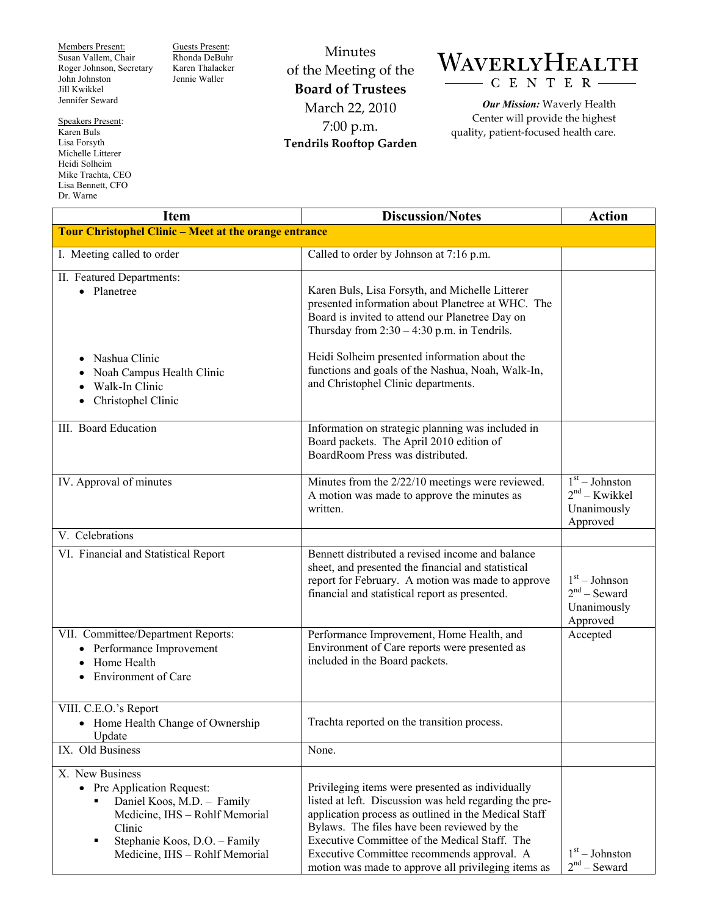Members Present: Susan Vallem, Chair Roger Johnson, Secretary John Johnston Jill Kwikkel Jennifer Seward

Guests Present: Rhonda DeBuhr Karen Thalacker Jennie Waller

Speakers Present: Karen Buls Lisa Forsyth Michelle Litterer Heidi Solheim Mike Trachta, CEO Lisa Bennett, CFO Dr. Warne

Minutes of the Meeting of the **Board of Trustees**  March 22, 2010 7:00 p.m. **Tendrils Rooftop Garden** 

## WAVERLYHEALTH CENTER

*Our Mission:* Waverly Health Center will provide the highest quality, patient-focused health care.

| <b>Item</b>                                                                                                                                                                                     | <b>Discussion/Notes</b>                                                                                                                                                                                                                                                                                                                                                 | <b>Action</b>                                                  |  |
|-------------------------------------------------------------------------------------------------------------------------------------------------------------------------------------------------|-------------------------------------------------------------------------------------------------------------------------------------------------------------------------------------------------------------------------------------------------------------------------------------------------------------------------------------------------------------------------|----------------------------------------------------------------|--|
| Tour Christophel Clinic - Meet at the orange entrance                                                                                                                                           |                                                                                                                                                                                                                                                                                                                                                                         |                                                                |  |
| I. Meeting called to order                                                                                                                                                                      | Called to order by Johnson at 7:16 p.m.                                                                                                                                                                                                                                                                                                                                 |                                                                |  |
| II. Featured Departments:<br>• Planetree                                                                                                                                                        | Karen Buls, Lisa Forsyth, and Michelle Litterer<br>presented information about Planetree at WHC. The<br>Board is invited to attend our Planetree Day on<br>Thursday from $2:30 - 4:30$ p.m. in Tendrils.                                                                                                                                                                |                                                                |  |
| Nashua Clinic<br>$\bullet$<br>Noah Campus Health Clinic<br>Walk-In Clinic<br>Christophel Clinic<br>٠                                                                                            | Heidi Solheim presented information about the<br>functions and goals of the Nashua, Noah, Walk-In,<br>and Christophel Clinic departments.                                                                                                                                                                                                                               |                                                                |  |
| III. Board Education                                                                                                                                                                            | Information on strategic planning was included in<br>Board packets. The April 2010 edition of<br>BoardRoom Press was distributed.                                                                                                                                                                                                                                       |                                                                |  |
| IV. Approval of minutes                                                                                                                                                                         | Minutes from the 2/22/10 meetings were reviewed.<br>A motion was made to approve the minutes as<br>written.                                                                                                                                                                                                                                                             | $1st - Johnston$<br>$2nd - Kwikkel$<br>Unanimously<br>Approved |  |
| V. Celebrations                                                                                                                                                                                 |                                                                                                                                                                                                                                                                                                                                                                         |                                                                |  |
| VI. Financial and Statistical Report                                                                                                                                                            | Bennett distributed a revised income and balance<br>sheet, and presented the financial and statistical<br>report for February. A motion was made to approve<br>financial and statistical report as presented.                                                                                                                                                           | $1st - Johnson$<br>$2nd$ – Seward<br>Unanimously<br>Approved   |  |
| VII. Committee/Department Reports:<br>Performance Improvement<br>Home Health<br>Environment of Care                                                                                             | Performance Improvement, Home Health, and<br>Environment of Care reports were presented as<br>included in the Board packets.                                                                                                                                                                                                                                            | Accepted                                                       |  |
| VIII. C.E.O.'s Report<br>Home Health Change of Ownership<br>Update                                                                                                                              | Trachta reported on the transition process.                                                                                                                                                                                                                                                                                                                             |                                                                |  |
| IX. Old Business                                                                                                                                                                                | None.                                                                                                                                                                                                                                                                                                                                                                   |                                                                |  |
| X. New Business<br>• Pre Application Request:<br>Daniel Koos, M.D. - Family<br>Medicine, IHS - Rohlf Memorial<br>Clinic<br>Stephanie Koos, D.O. - Family<br>٠<br>Medicine, IHS - Rohlf Memorial | Privileging items were presented as individually<br>listed at left. Discussion was held regarding the pre-<br>application process as outlined in the Medical Staff<br>Bylaws. The files have been reviewed by the<br>Executive Committee of the Medical Staff. The<br>Executive Committee recommends approval. A<br>motion was made to approve all privileging items as | $1st - Johnston$<br>$2nd$ – Seward                             |  |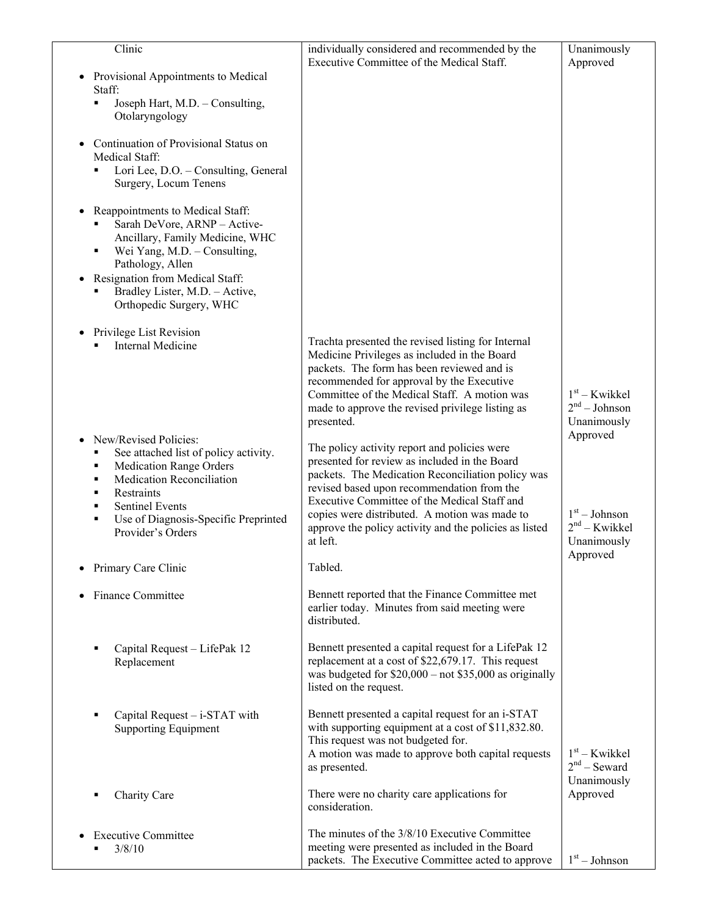| Clinic                                                                                                                                                                                                                                  | individually considered and recommended by the<br>Executive Committee of the Medical Staff.                                                                                                                                                                                                                                                                             | Unanimously<br>Approved                           |
|-----------------------------------------------------------------------------------------------------------------------------------------------------------------------------------------------------------------------------------------|-------------------------------------------------------------------------------------------------------------------------------------------------------------------------------------------------------------------------------------------------------------------------------------------------------------------------------------------------------------------------|---------------------------------------------------|
| Provisional Appointments to Medical                                                                                                                                                                                                     |                                                                                                                                                                                                                                                                                                                                                                         |                                                   |
| Staff:<br>Joseph Hart, M.D. - Consulting,<br>٠                                                                                                                                                                                          |                                                                                                                                                                                                                                                                                                                                                                         |                                                   |
| Otolaryngology                                                                                                                                                                                                                          |                                                                                                                                                                                                                                                                                                                                                                         |                                                   |
| Continuation of Provisional Status on<br>Medical Staff:                                                                                                                                                                                 |                                                                                                                                                                                                                                                                                                                                                                         |                                                   |
| Lori Lee, D.O. - Consulting, General<br>Surgery, Locum Tenens                                                                                                                                                                           |                                                                                                                                                                                                                                                                                                                                                                         |                                                   |
| Reappointments to Medical Staff:<br>$\bullet$<br>Sarah DeVore, ARNP - Active-<br>Ancillary, Family Medicine, WHC<br>Wei Yang, M.D. - Consulting,<br>٠<br>Pathology, Allen                                                               |                                                                                                                                                                                                                                                                                                                                                                         |                                                   |
| Resignation from Medical Staff:<br>$\bullet$<br>Bradley Lister, M.D. - Active,<br>٠<br>Orthopedic Surgery, WHC                                                                                                                          |                                                                                                                                                                                                                                                                                                                                                                         |                                                   |
|                                                                                                                                                                                                                                         |                                                                                                                                                                                                                                                                                                                                                                         |                                                   |
| Privilege List Revision<br>$\bullet$<br><b>Internal Medicine</b>                                                                                                                                                                        | Trachta presented the revised listing for Internal<br>Medicine Privileges as included in the Board<br>packets. The form has been reviewed and is<br>recommended for approval by the Executive<br>Committee of the Medical Staff. A motion was<br>made to approve the revised privilege listing as<br>presented.                                                         | $1st$ – Kwikkel<br>$2nd - Johnson$<br>Unanimously |
| New/Revised Policies:                                                                                                                                                                                                                   |                                                                                                                                                                                                                                                                                                                                                                         | Approved                                          |
| See attached list of policy activity.<br>٠<br><b>Medication Range Orders</b><br>٠<br>Medication Reconciliation<br>٠<br>Restraints<br>٠<br><b>Sentinel Events</b><br>٠<br>Use of Diagnosis-Specific Preprinted<br>٠<br>Provider's Orders | The policy activity report and policies were<br>presented for review as included in the Board<br>packets. The Medication Reconciliation policy was<br>revised based upon recommendation from the<br>Executive Committee of the Medical Staff and<br>copies were distributed. A motion was made to<br>approve the policy activity and the policies as listed<br>at left. | $1st - Johnson$<br>$2nd - Kwikkel$<br>Unanimously |
| Primary Care Clinic                                                                                                                                                                                                                     | Tabled.                                                                                                                                                                                                                                                                                                                                                                 | Approved                                          |
| <b>Finance Committee</b><br>$\bullet$                                                                                                                                                                                                   | Bennett reported that the Finance Committee met<br>earlier today. Minutes from said meeting were<br>distributed.                                                                                                                                                                                                                                                        |                                                   |
| Capital Request - LifePak 12<br>٠<br>Replacement                                                                                                                                                                                        | Bennett presented a capital request for a LifePak 12<br>replacement at a cost of \$22,679.17. This request<br>was budgeted for $$20,000$ – not $$35,000$ as originally<br>listed on the request.                                                                                                                                                                        |                                                   |
| Capital Request - i-STAT with<br>٠<br><b>Supporting Equipment</b>                                                                                                                                                                       | Bennett presented a capital request for an i-STAT<br>with supporting equipment at a cost of \$11,832.80.<br>This request was not budgeted for.<br>A motion was made to approve both capital requests<br>as presented.                                                                                                                                                   | $1st$ – Kwikkel<br>$2nd$ – Seward<br>Unanimously  |
| Charity Care<br>٠                                                                                                                                                                                                                       | There were no charity care applications for<br>consideration.                                                                                                                                                                                                                                                                                                           | Approved                                          |
| <b>Executive Committee</b><br>3/8/10                                                                                                                                                                                                    | The minutes of the 3/8/10 Executive Committee<br>meeting were presented as included in the Board<br>packets. The Executive Committee acted to approve                                                                                                                                                                                                                   | $1st - Johnson$                                   |